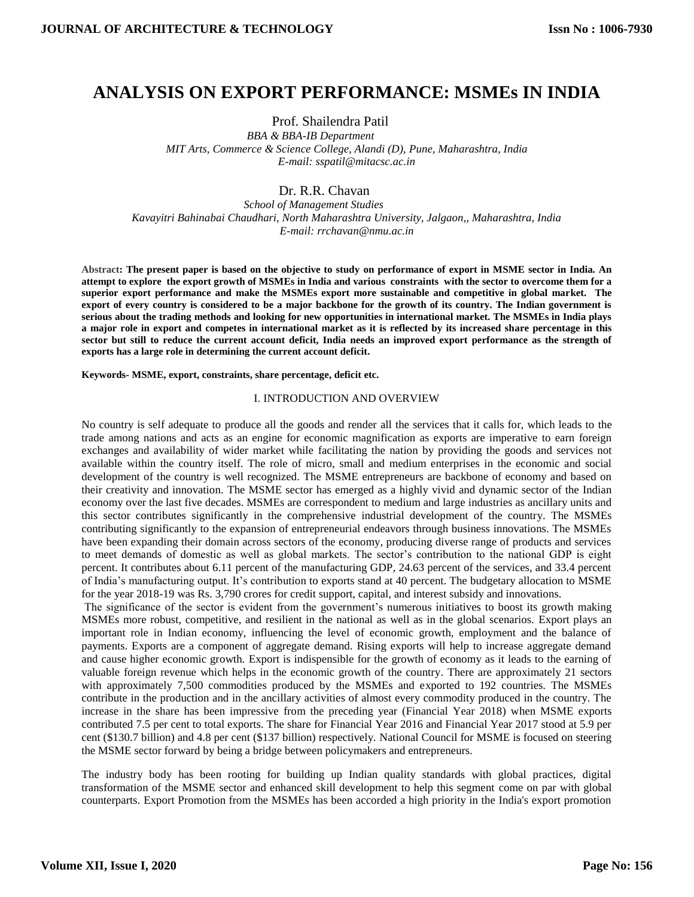# **ANALYSIS ON EXPORT PERFORMANCE: MSMEs IN INDIA**

Prof. Shailendra Patil

 *BBA & BBA-IB Department MIT Arts, Commerce & Science College, Alandi (D), Pune, Maharashtra, India E-mail[: sspatil@mitacsc.ac.in](mailto:sspatil@mitacsc.ac.in)*

# Dr. R.R. Chavan

 *School of Management Studies Kavayitri Bahinabai Chaudhari, North Maharashtra University, Jalgaon,, Maharashtra, India E-mail: [rrchavan@nmu.ac.in](mailto:rrchavan@nmu.ac.in)*

**Abstract: The present paper is based on the objective to study on performance of export in MSME sector in India. An attempt to explore the export growth of MSMEs in India and various constraints with the sector to overcome them for a superior export performance and make the MSMEs export more sustainable and competitive in global market. The export of every country is considered to be a major backbone for the growth of its country. The Indian government is serious about the trading methods and looking for new opportunities in international market. The MSMEs in India plays a major role in export and competes in international market as it is reflected by its increased share percentage in this sector but still to reduce the current account deficit, India needs an improved export performance as the strength of exports has a large role in determining the current account deficit.** 

**Keywords- MSME, export, constraints, share percentage, deficit etc.**

## I. INTRODUCTION AND OVERVIEW

No country is self adequate to produce all the goods and render all the services that it calls for, which leads to the trade among nations and acts as an engine for economic magnification as exports are imperative to earn foreign exchanges and availability of wider market while facilitating the nation by providing the goods and services not available within the country itself. The role of micro, small and medium enterprises in the economic and social development of the country is well recognized. The MSME entrepreneurs are backbone of economy and based on their creativity and innovation. The MSME sector has emerged as a highly vivid and dynamic sector of the Indian economy over the last five decades. MSMEs are correspondent to medium and large industries as ancillary units and this sector contributes significantly in the comprehensive industrial development of the country. The MSMEs contributing significantly to the expansion of entrepreneurial endeavors through business innovations. The MSMEs have been expanding their domain across sectors of the economy, producing diverse range of products and services to meet demands of domestic as well as global markets. The sector's contribution to the national GDP is eight percent. It contributes about 6.11 percent of the manufacturing GDP, 24.63 percent of the services, and 33.4 percent of India's manufacturing output. It's contribution to exports stand at 40 percent. The budgetary allocation to MSME for the year 2018-19 was Rs. 3,790 crores for credit support, capital, and interest subsidy and innovations.

The significance of the sector is evident from the government's numerous initiatives to boost its growth making MSMEs more robust, competitive, and resilient in the national as well as in the global scenarios. Export plays an important role in Indian economy, influencing the level of economic growth, employment and the balance of payments. Exports are a component of aggregate demand. Rising exports will help to increase aggregate demand and cause higher economic growth. Export is indispensible for the growth of economy as it leads to the earning of valuable foreign revenue which helps in the economic growth of the country. There are approximately 21 sectors with approximately 7,500 commodities produced by the MSMEs and exported to 192 countries. The MSMEs contribute in the production and in the ancillary activities of almost every commodity produced in the country. The increase in the share has been impressive from the preceding year (Financial Year 2018) when MSME exports contributed 7.5 per cent to total exports. The share for Financial Year 2016 and Financial Year 2017 stood at 5.9 per cent (\$130.7 billion) and 4.8 per cent (\$137 billion) respectively. National Council for MSME is focused on steering the MSME sector forward by being a bridge between policymakers and entrepreneurs.

The industry body has been rooting for building up Indian quality standards with global practices, digital transformation of the MSME sector and enhanced skill development to help this segment come on par with global counterparts. Export Promotion from the MSMEs has been accorded a high priority in the India's export promotion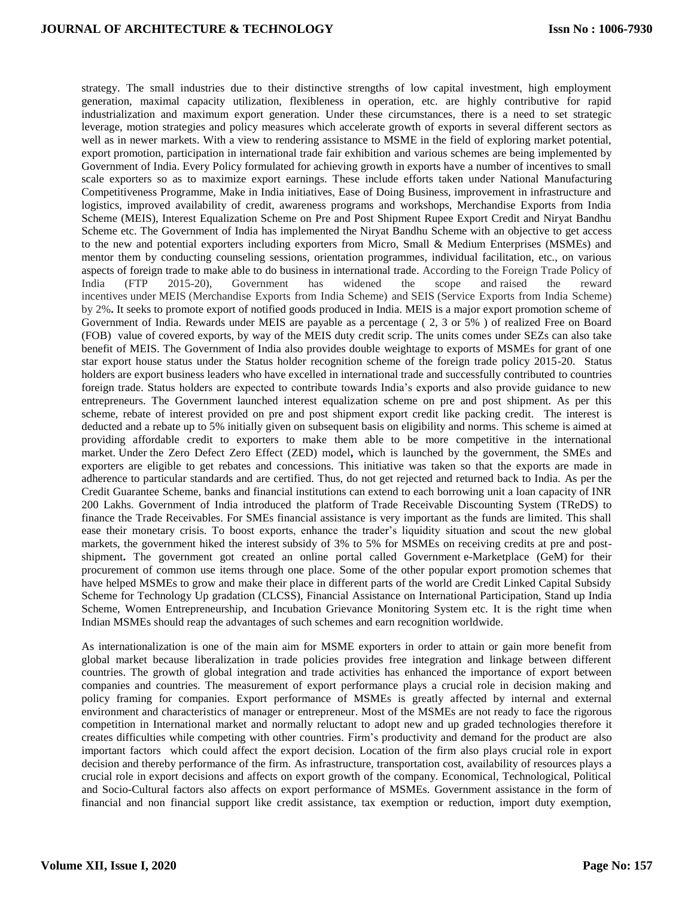strategy. The small industries due to their distinctive strengths of low capital investment, high employment generation, maximal capacity utilization, flexibleness in operation, etc. are highly contributive for rapid industrialization and maximum export generation. Under these circumstances, there is a need to set strategic leverage, motion strategies and policy measures which accelerate growth of exports in several different sectors as well as in newer markets. With a view to rendering assistance to MSME in the field of exploring market potential, export promotion, participation in international trade fair exhibition and various schemes are being implemented by Government of India. Every Policy formulated for achieving growth in exports have a number of incentives to small scale exporters so as to maximize export earnings. These include efforts taken under National Manufacturing Competitiveness Programme, Make in India initiatives, Ease of Doing Business, improvement in infrastructure and logistics, improved availability of credit, awareness programs and workshops, Merchandise Exports from India Scheme (MEIS), Interest Equalization Scheme on Pre and Post Shipment Rupee Export Credit and Niryat Bandhu Scheme etc. The Government of India has implemented the Niryat Bandhu Scheme with an objective to get access to the new and potential exporters including exporters from Micro, Small & Medium Enterprises (MSMEs) and mentor them by conducting counseling sessions, orientation programmes, individual facilitation, etc., on various aspects of foreign trade to make able to do business in international trade. According to the Foreign Trade Policy of India (FTP 2015-20), Government has widened the scope and raised the reward incentives under MEIS (Merchandise Exports from India Scheme) and SEIS (Service Exports from India Scheme) by 2%**.** It seeks to promote export of notified goods produced in India. MEIS is a major export promotion scheme of Government of India. Rewards under MEIS are payable as a percentage ( 2, 3 or 5% ) of realized Free on Board (FOB) value of covered exports, by way of the MEIS duty credit scrip. The units comes under SEZs can also take benefit of MEIS. The Government of India also provides double weightage to exports of MSMEs for grant of one star export house status under the Status holder recognition scheme of the foreign trade policy 2015-20. Status holders are export business leaders who have excelled in international trade and successfully contributed to countries foreign trade. Status holders are expected to contribute towards India's exports and also provide guidance to new entrepreneurs. The Government launched interest equalization scheme on pre and post shipment. As per this scheme, rebate of interest provided on pre and post shipment export credit like packing credit. The interest is deducted and a rebate up to 5% initially given on subsequent basis on eligibility and norms. This scheme is aimed at providing affordable credit to exporters to make them able to be more competitive in the international market. Under the Zero Defect Zero Effect (ZED) model**,** which is launched by the government, the SMEs and exporters are eligible to get rebates and concessions. This initiative was taken so that the exports are made in adherence to particular standards and are certified. Thus, do not get rejected and returned back to India. As per the Credit Guarantee Scheme, banks and financial institutions can extend to each borrowing unit a loan capacity of INR 200 Lakhs. Government of India introduced the platform of Trade Receivable Discounting System (TReDS) to finance the Trade Receivables. For SMEs financial assistance is very important as the funds are limited. This shall ease their monetary crisis. To boost exports, enhance the trader's liquidity situation and scout the new global markets, the government hiked the interest [subsidy of 3% to 5% for MSMEs on receiving credits at pre and post](http://www.pib.nic.in/Pressreleaseshare.aspx?PRID=1563823.)[shipment](http://www.pib.nic.in/Pressreleaseshare.aspx?PRID=1563823.)**.** The government got created an online portal called Government e-Marketplace (GeM) for their procurement of common use items through one place. Some of the other popular export promotion schemes that have helped MSMEs to grow and make their place in different parts of the world are Credit Linked Capital Subsidy Scheme for Technology Up gradation (CLCSS), Financial Assistance on International Participation, Stand up India Scheme, Women Entrepreneurship, and Incubation Grievance Monitoring System etc. It is the right time when Indian MSMEs should reap the advantages of such schemes and earn recognition worldwide.

As internationalization is one of the main aim for MSME exporters in order to attain or gain more benefit from global market because liberalization in trade policies provides free integration and linkage between different countries. The growth of global integration and trade activities has enhanced the importance of export between companies and countries. The measurement of export performance plays a crucial role in decision making and policy framing for companies. Export performance of MSMEs is greatly affected by internal and external environment and characteristics of manager or entrepreneur. Most of the MSMEs are not ready to face the rigorous competition in International market and normally reluctant to adopt new and up graded technologies therefore it creates difficulties while competing with other countries. Firm's productivity and demand for the product are also important factors which could affect the export decision. Location of the firm also plays crucial role in export decision and thereby performance of the firm. As infrastructure, transportation cost, availability of resources plays a crucial role in export decisions and affects on export growth of the company. Economical, Technological, Political and Socio-Cultural factors also affects on export performance of MSMEs. Government assistance in the form of financial and non financial support like credit assistance, tax exemption or reduction, import duty exemption,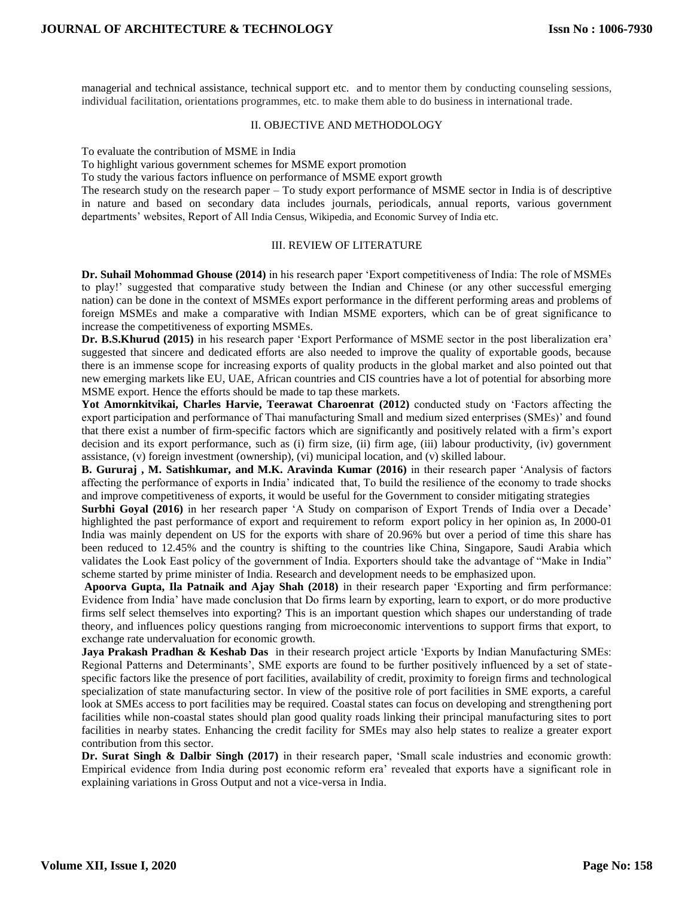managerial and technical assistance, technical support etc. and to mentor them by conducting counseling sessions, individual facilitation, orientations programmes, etc. to make them able to do business in international trade.

#### II. OBJECTIVE AND METHODOLOGY

To evaluate the contribution of MSME in India

To highlight various government schemes for MSME export promotion

To study the various factors influence on performance of MSME export growth

The research study on the research paper – To study export performance of MSME sector in India is of descriptive in nature and based on secondary data includes journals, periodicals, annual reports, various government departments' websites, Report of All India Census, Wikipedia, and Economic Survey of India etc.

#### III. REVIEW OF LITERATURE

**Dr. Suhail Mohommad Ghouse (2014)** in his research paper 'Export competitiveness of India: The role of MSMEs to play!' suggested that comparative study between the Indian and Chinese (or any other successful emerging nation) can be done in the context of MSMEs export performance in the different performing areas and problems of foreign MSMEs and make a comparative with Indian MSME exporters, which can be of great significance to increase the competitiveness of exporting MSMEs.

**Dr. B.S.Khurud (2015)** in his research paper 'Export Performance of MSME sector in the post liberalization era' suggested that sincere and dedicated efforts are also needed to improve the quality of exportable goods, because there is an immense scope for increasing exports of quality products in the global market and also pointed out that new emerging markets like EU, UAE, African countries and CIS countries have a lot of potential for absorbing more MSME export. Hence the efforts should be made to tap these markets.

**Yot Amornkitvikai, Charles Harvie, Teerawat Charoenrat (2012)** conducted study on 'Factors affecting the export participation and performance of Thai manufacturing Small and medium sized enterprises (SMEs)' and found that there exist a number of firm-specific factors which are significantly and positively related with a firm's export decision and its export performance, such as (i) firm size, (ii) firm age, (iii) labour productivity, (iv) government assistance, (v) foreign investment (ownership), (vi) municipal location, and (v) skilled labour.

**B. Gururaj , M. Satishkumar, and M.K. Aravinda Kumar (2016)** in their research paper 'Analysis of factors affecting the performance of exports in India' indicated that, To build the resilience of the economy to trade shocks and improve competitiveness of exports, it would be useful for the Government to consider mitigating strategies

**Surbhi Goyal (2016)** in her research paper 'A Study on comparison of Export Trends of India over a Decade' highlighted the past performance of export and requirement to reform export policy in her opinion as, In 2000-01 India was mainly dependent on US for the exports with share of 20.96% but over a period of time this share has been reduced to 12.45% and the country is shifting to the countries like China, Singapore, Saudi Arabia which validates the Look East policy of the government of India. Exporters should take the advantage of "Make in India" scheme started by prime minister of India. Research and development needs to be emphasized upon.

**Apoorva Gupta, Ila Patnaik and Ajay Shah (2018)** in their research paper 'Exporting and firm performance: Evidence from India' have made conclusion that Do firms learn by exporting, learn to export, or do more productive firms self select themselves into exporting? This is an important question which shapes our understanding of trade theory, and influences policy questions ranging from microeconomic interventions to support firms that export, to exchange rate undervaluation for economic growth.

**Jaya Prakash Pradhan & Keshab Das** in their research project article 'Exports by Indian Manufacturing SMEs: Regional Patterns and Determinants', SME exports are found to be further positively influenced by a set of statespecific factors like the presence of port facilities, availability of credit, proximity to foreign firms and technological specialization of state manufacturing sector. In view of the positive role of port facilities in SME exports, a careful look at SMEs access to port facilities may be required. Coastal states can focus on developing and strengthening port facilities while non-coastal states should plan good quality roads linking their principal manufacturing sites to port facilities in nearby states. Enhancing the credit facility for SMEs may also help states to realize a greater export contribution from this sector.

**Dr. Surat Singh & Dalbir Singh (2017)** in their research paper, 'Small scale industries and economic growth: Empirical evidence from India during post economic reform era' revealed that exports have a significant role in explaining variations in Gross Output and not a vice-versa in India.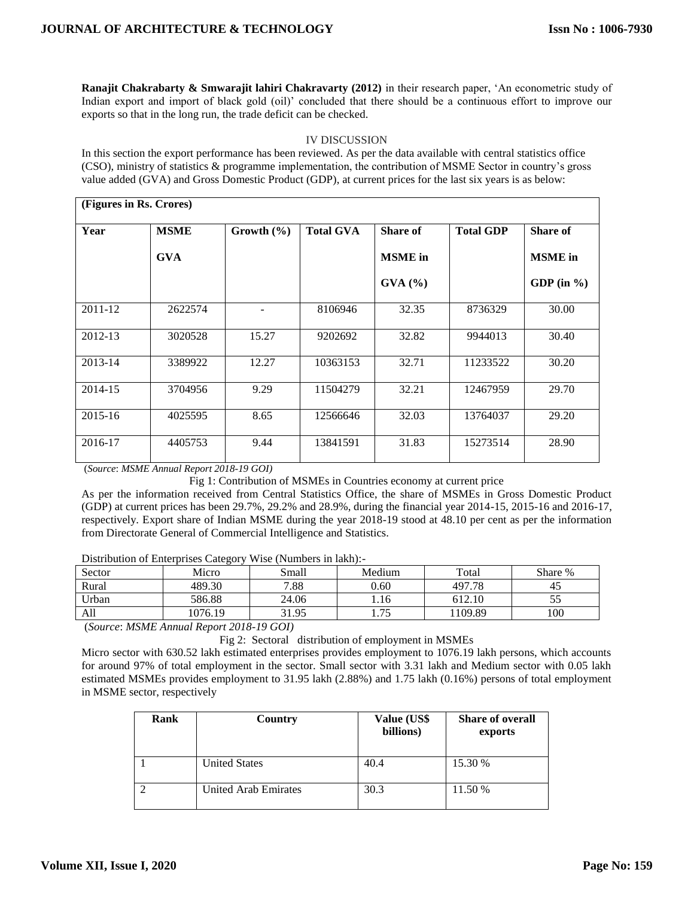**Ranajit Chakrabarty & Smwarajit lahiri Chakravarty (2012)** in their research paper, 'An econometric study of Indian export and import of black gold (oil)' concluded that there should be a continuous effort to improve our exports so that in the long run, the trade deficit can be checked.

## IV DISCUSSION

In this section the export performance has been reviewed. As per the data available with central statistics office (CSO), ministry of statistics & programme implementation, the contribution of MSME Sector in country's gross value added (GVA) and Gross Domestic Product (GDP), at current prices for the last six years is as below:

| (Figures in Rs. Crores) |             |                |                  |                  |                  |                |
|-------------------------|-------------|----------------|------------------|------------------|------------------|----------------|
| Year                    | <b>MSME</b> | Growth $(\% )$ | <b>Total GVA</b> | Share of         | <b>Total GDP</b> | Share of       |
|                         | <b>GVA</b>  |                |                  | <b>MSME</b> in   |                  | <b>MSME</b> in |
|                         |             |                |                  | $\text{GVA}$ (%) |                  | GDP (in $\%$ ) |
| 2011-12                 | 2622574     |                | 8106946          | 32.35            | 8736329          | 30.00          |
| 2012-13                 | 3020528     | 15.27          | 9202692          | 32.82            | 9944013          | 30.40          |
| 2013-14                 | 3389922     | 12.27          | 10363153         | 32.71            | 11233522         | 30.20          |
| 2014-15                 | 3704956     | 9.29           | 11504279         | 32.21            | 12467959         | 29.70          |
| 2015-16                 | 4025595     | 8.65           | 12566646         | 32.03            | 13764037         | 29.20          |
| 2016-17                 | 4405753     | 9.44           | 13841591         | 31.83            | 15273514         | 28.90          |

(*Source*: *MSME Annual Report 2018-19 GOI)*

Fig 1: Contribution of MSMEs in Countries economy at current price

As per the information received from Central Statistics Office, the share of MSMEs in Gross Domestic Product (GDP) at current prices has been 29.7%, 29.2% and 28.9%, during the financial year 2014-15, 2015-16 and 2016-17, respectively. Export share of Indian MSME during the year 2018-19 stood at 48.10 per cent as per the information from Directorate General of Commercial Intelligence and Statistics.

Distribution of Enterprises Category Wise (Numbers in lakh):-

| Sector | Micro   | Small | Medium     | Total   | Share % |
|--------|---------|-------|------------|---------|---------|
| Rural  | 489.30  | 7.88  | 0.60       | 497.78  | 45      |
| Urban  | 586.88  | 24.06 | 1.16       | 612.10  | ں ر     |
| All    | 1076.19 | 31.95 | 75<br>1.7J | 1109.89 | 100     |

(*Source*: *MSME Annual Report 2018-19 GOI)*

Fig 2: Sectoral distribution of employment in MSMEs

Micro sector with 630.52 lakh estimated enterprises provides employment to 1076.19 lakh persons, which accounts for around 97% of total employment in the sector. Small sector with 3.31 lakh and Medium sector with 0.05 lakh estimated MSMEs provides employment to 31.95 lakh (2.88%) and 1.75 lakh (0.16%) persons of total employment in MSME sector, respectively

| Rank | Country              | Value (US\$<br>billions) | <b>Share of overall</b><br>exports |
|------|----------------------|--------------------------|------------------------------------|
|      | <b>United States</b> | 40.4                     | 15.30 %                            |
|      | United Arab Emirates | 30.3                     | 11.50 %                            |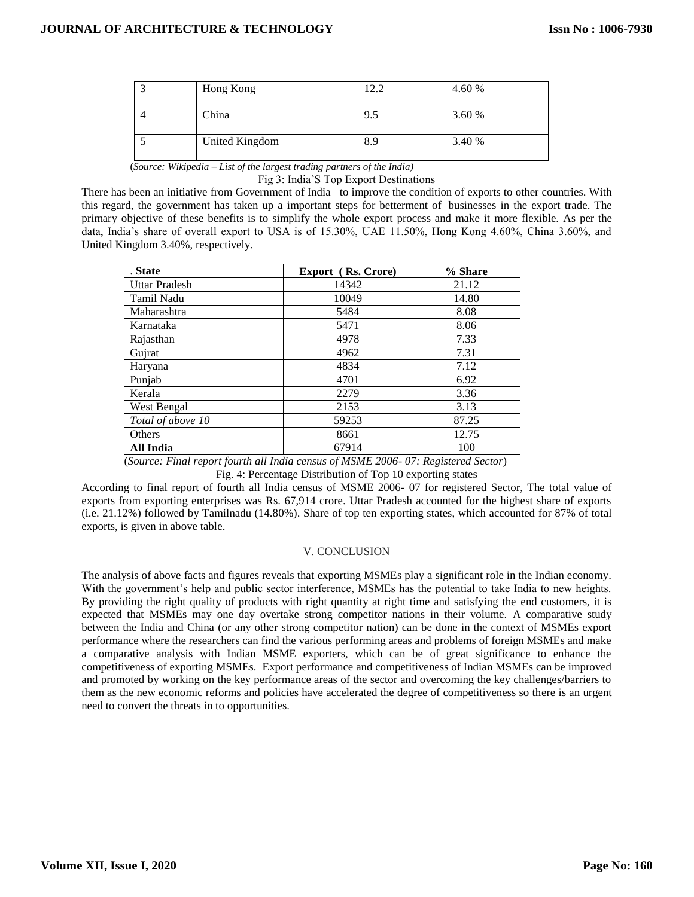| Hong Kong      | 12.2 | 4.60 % |
|----------------|------|--------|
| China          | 9.5  | 3.60 % |
| United Kingdom | 8.9  | 3.40 % |

(*Source: Wikipedia – List of the largest trading partners of the India)*

Fig 3: India'S Top Export Destinations

There has been an initiative from Government of India to improve the condition of exports to other countries. With this regard, the government has taken up a important steps for betterment of [businesses](https://www.shiprocket.in/blog/international-selling-part-2/) in the export trade. The primary objective of these benefits is to simplify the whole export process and make it more flexible. As per the data, India's share of overall export to USA is of 15.30%, UAE 11.50%, Hong Kong 4.60%, China 3.60%, and United Kingdom 3.40%, respectively.

| . State              | <b>Export</b> (Rs. Crore) | % Share |  |
|----------------------|---------------------------|---------|--|
| <b>Uttar Pradesh</b> | 14342                     | 21.12   |  |
| Tamil Nadu           | 10049                     | 14.80   |  |
| Maharashtra          | 5484                      | 8.08    |  |
| Karnataka            | 5471                      | 8.06    |  |
| Rajasthan            | 4978                      | 7.33    |  |
| Guirat               | 4962                      | 7.31    |  |
| Haryana              | 4834                      | 7.12    |  |
| Punjab               | 4701                      | 6.92    |  |
| Kerala               | 2279                      | 3.36    |  |
| West Bengal          | 2153                      | 3.13    |  |
| Total of above 10    | 59253                     | 87.25   |  |
| Others               | 8661                      | 12.75   |  |
| All India            | 67914                     | 100     |  |

(*Source: Final report fourth all India census of MSME 2006- 07: Registered Sector*)

Fig. 4: Percentage Distribution of Top 10 exporting states

According to final report of fourth all India census of MSME 2006- 07 for registered Sector, The total value of exports from exporting enterprises was Rs. 67,914 crore. Uttar Pradesh accounted for the highest share of exports (i.e. 21.12%) followed by Tamilnadu (14.80%). Share of top ten exporting states, which accounted for 87% of total exports, is given in above table.

# V. CONCLUSION

The analysis of above facts and figures reveals that exporting MSMEs play a significant role in the Indian economy. With the government's help and public sector interference, MSMEs has the potential to take India to new heights. By providing the right quality of products with right quantity at right time and satisfying the end customers, it is expected that MSMEs may one day overtake strong competitor nations in their volume. A comparative study between the India and China (or any other strong competitor nation) can be done in the context of MSMEs export performance where the researchers can find the various performing areas and problems of foreign MSMEs and make a comparative analysis with Indian MSME exporters, which can be of great significance to enhance the competitiveness of exporting MSMEs. Export performance and competitiveness of Indian MSMEs can be improved and promoted by working on the key performance areas of the sector and overcoming the key challenges/barriers to them as the new economic reforms and policies have accelerated the degree of competitiveness so there is an urgent need to convert the threats in to opportunities.